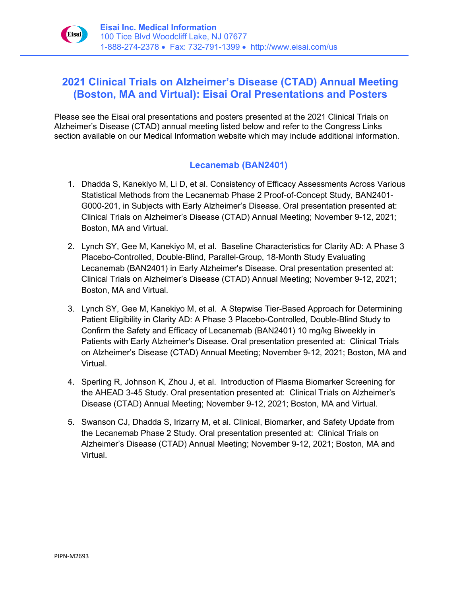

## **2021 Clinical Trials on Alzheimer's Disease (CTAD) Annual Meeting (Boston, MA and Virtual): Eisai Oral Presentations and Posters**

Please see the Eisai oral presentations and posters presented at the 2021 Clinical Trials on Alzheimer's Disease (CTAD) annual meeting listed below and refer to the Congress Links section available on our Medical Information website which may include additional information.

## **Lecanemab (BAN2401)**

- 1. Dhadda S, Kanekiyo M, Li D, et al. Consistency of Efficacy Assessments Across Various Statistical Methods from the Lecanemab Phase 2 Proof-of-Concept Study, BAN2401- G000-201, in Subjects with Early Alzheimer's Disease. Oral presentation presented at: Clinical Trials on Alzheimer's Disease (CTAD) Annual Meeting; November 9-12, 2021; Boston, MA and Virtual.
- 2. Lynch SY, Gee M, Kanekiyo M, et al. Baseline Characteristics for Clarity AD: A Phase 3 Placebo-Controlled, Double-Blind, Parallel-Group, 18-Month Study Evaluating Lecanemab (BAN2401) in Early Alzheimer's Disease. Oral presentation presented at: Clinical Trials on Alzheimer's Disease (CTAD) Annual Meeting; November 9-12, 2021; Boston, MA and Virtual.
- 3. Lynch SY, Gee M, Kanekiyo M, et al. A Stepwise Tier-Based Approach for Determining Patient Eligibility in Clarity AD: A Phase 3 Placebo-Controlled, Double-Blind Study to Confirm the Safety and Efficacy of Lecanemab (BAN2401) 10 mg/kg Biweekly in Patients with Early Alzheimer's Disease. Oral presentation presented at: Clinical Trials on Alzheimer's Disease (CTAD) Annual Meeting; November 9-12, 2021; Boston, MA and Virtual.
- 4. Sperling R, Johnson K, Zhou J, et al. Introduction of Plasma Biomarker Screening for the AHEAD 3-45 Study. Oral presentation presented at: Clinical Trials on Alzheimer's Disease (CTAD) Annual Meeting; November 9-12, 2021; Boston, MA and Virtual.
- 5. Swanson CJ, Dhadda S, Irizarry M, et al. Clinical, Biomarker, and Safety Update from the Lecanemab Phase 2 Study. Oral presentation presented at: Clinical Trials on Alzheimer's Disease (CTAD) Annual Meeting; November 9-12, 2021; Boston, MA and Virtual.